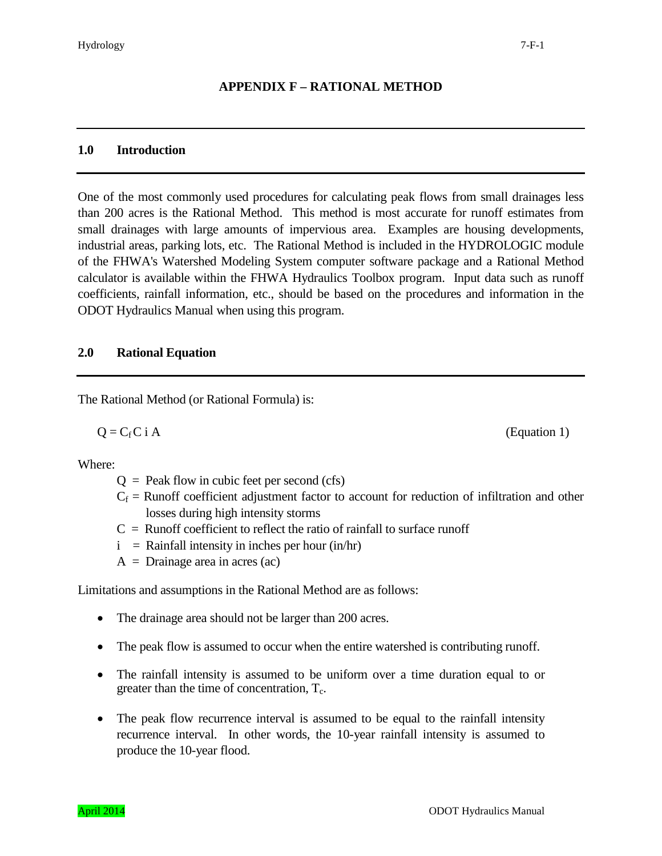# **APPENDIX F – RATIONAL METHOD**

#### **1.0 Introduction**

One of the most commonly used procedures for calculating peak flows from small drainages less than 200 acres is the Rational Method. This method is most accurate for runoff estimates from small drainages with large amounts of impervious area. Examples are housing developments, industrial areas, parking lots, etc. The Rational Method is included in the HYDROLOGIC module of the FHWA's Watershed Modeling System computer software package and a Rational Method calculator is available within the FHWA Hydraulics Toolbox program. Input data such as runoff coefficients, rainfall information, etc., should be based on the procedures and information in the ODOT Hydraulics Manual when using this program.

#### **2.0 Rational Equation**

The Rational Method (or Rational Formula) is:

Where:

- $Q =$  Peak flow in cubic feet per second (cfs)
- $C_f$  = Runoff coefficient adjustment factor to account for reduction of infiltration and other losses during high intensity storms
- $C =$  Runoff coefficient to reflect the ratio of rainfall to surface runoff
- $i =$  Rainfall intensity in inches per hour (in/hr)
- $A = D$ rainage area in acres (ac)

Limitations and assumptions in the Rational Method are as follows:

- The drainage area should not be larger than 200 acres.
- The peak flow is assumed to occur when the entire watershed is contributing runoff.
- The rainfall intensity is assumed to be uniform over a time duration equal to or greater than the time of concentration,  $T_c$ .
- The peak flow recurrence interval is assumed to be equal to the rainfall intensity recurrence interval. In other words, the 10-year rainfall intensity is assumed to produce the 10-year flood.



 $Q = C_f C$  i A (Equation 1)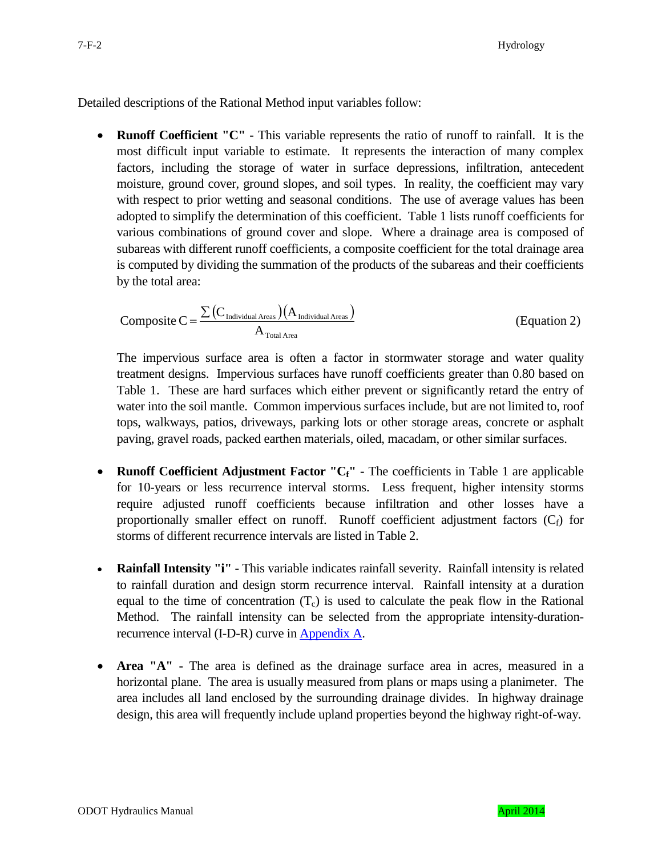Detailed descriptions of the Rational Method input variables follow:

• **Runoff Coefficient "C" -** This variable represents the ratio of runoff to rainfall. It is the most difficult input variable to estimate. It represents the interaction of many complex factors, including the storage of water in surface depressions, infiltration, antecedent moisture, ground cover, ground slopes, and soil types. In reality, the coefficient may vary with respect to prior wetting and seasonal conditions. The use of average values has been adopted to simplify the determination of this coefficient. Table 1 lists runoff coefficients for various combinations of ground cover and slope. Where a drainage area is composed of subareas with different runoff coefficients, a composite coefficient for the total drainage area is computed by dividing the summation of the products of the subareas and their coefficients by the total area:

$$
Composite C = \frac{\sum (C_{\text{Individual Area}})(A_{\text{Individual Area}})}{A_{\text{Total Area}}}
$$
(Equation 2)

The impervious surface area is often a factor in stormwater storage and water quality treatment designs. Impervious surfaces have runoff coefficients greater than 0.80 based on Table 1. These are hard surfaces which either prevent or significantly retard the entry of water into the soil mantle. Common impervious surfaces include, but are not limited to, roof tops, walkways, patios, driveways, parking lots or other storage areas, concrete or asphalt paving, gravel roads, packed earthen materials, oiled, macadam, or other similar surfaces.

- **Runoff Coefficient Adjustment Factor "C<sub>f</sub>"** The coefficients in Table 1 are applicable for 10-years or less recurrence interval storms. Less frequent, higher intensity storms require adjusted runoff coefficients because infiltration and other losses have a proportionally smaller effect on runoff. Runoff coefficient adjustment factors  $(C_f)$  for storms of different recurrence intervals are listed in Table 2.
- **Rainfall Intensity "i" -** This variable indicates rainfall severity. Rainfall intensity is related to rainfall duration and design storm recurrence interval. Rainfall intensity at a duration equal to the time of concentration  $(T_c)$  is used to calculate the peak flow in the Rational Method. The rainfall intensity can be selected from the appropriate intensity-duration-recurrence interval (I-D-R) curve in [Appendix A.](ftp://ftp.odot.state.or.us/techserv/Geo-Environmental/Hydraulics/Hydro/Manuals_and_Guidance/HDM%202011/Chapter_07_2011/Chapter_07_appendix_A/CHAPTER_07_APPENDIX_A.pdf)
- **Area "A" -** The area is defined as the drainage surface area in acres, measured in a horizontal plane. The area is usually measured from plans or maps using a planimeter. The area includes all land enclosed by the surrounding drainage divides. In highway drainage design, this area will frequently include upland properties beyond the highway right-of-way.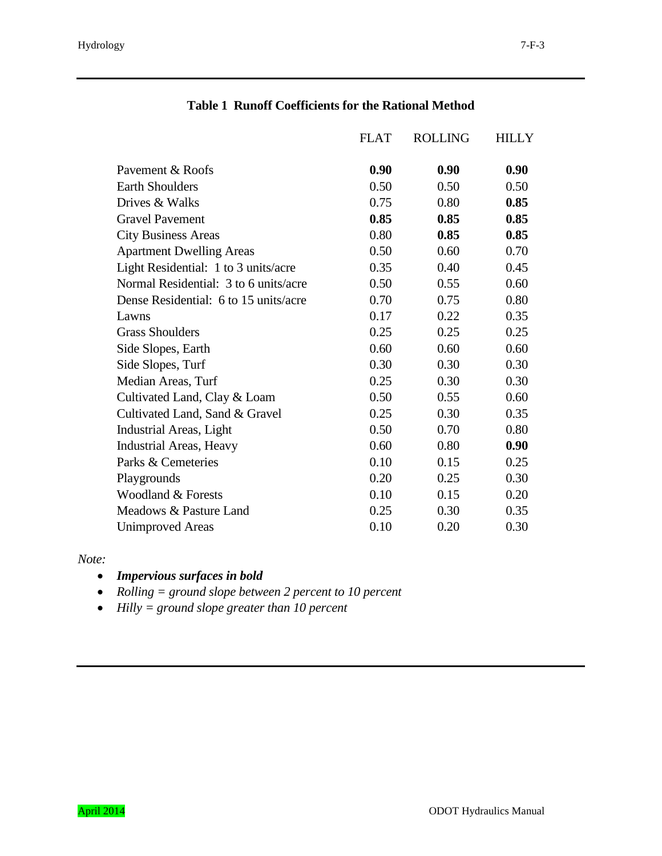|                                       | <b>FLAT</b> | <b>ROLLING</b> | HILLY |
|---------------------------------------|-------------|----------------|-------|
| Payement & Roofs                      | 0.90        | 0.90           | 0.90  |
| <b>Earth Shoulders</b>                | 0.50        | 0.50           | 0.50  |
| Drives & Walks                        | 0.75        | 0.80           | 0.85  |
| <b>Gravel Pavement</b>                | 0.85        | 0.85           | 0.85  |
| <b>City Business Areas</b>            | 0.80        | 0.85           | 0.85  |
| <b>Apartment Dwelling Areas</b>       | 0.50        | 0.60           | 0.70  |
| Light Residential: 1 to 3 units/acre  | 0.35        | 0.40           | 0.45  |
| Normal Residential: 3 to 6 units/acre | 0.50        | 0.55           | 0.60  |
| Dense Residential: 6 to 15 units/acre | 0.70        | 0.75           | 0.80  |
| Lawns                                 | 0.17        | 0.22           | 0.35  |
| <b>Grass Shoulders</b>                | 0.25        | 0.25           | 0.25  |
| Side Slopes, Earth                    | 0.60        | 0.60           | 0.60  |
| Side Slopes, Turf                     | 0.30        | 0.30           | 0.30  |
| Median Areas, Turf                    | 0.25        | 0.30           | 0.30  |
| Cultivated Land, Clay & Loam          | 0.50        | 0.55           | 0.60  |
| Cultivated Land, Sand & Gravel        | 0.25        | 0.30           | 0.35  |
| Industrial Areas, Light               | 0.50        | 0.70           | 0.80  |
| <b>Industrial Areas, Heavy</b>        | 0.60        | 0.80           | 0.90  |
| Parks & Cemeteries                    | 0.10        | 0.15           | 0.25  |
| Playgrounds                           | 0.20        | 0.25           | 0.30  |
| Woodland & Forests                    | 0.10        | 0.15           | 0.20  |
| Meadows & Pasture Land                | 0.25        | 0.30           | 0.35  |
| <b>Unimproved Areas</b>               | 0.10        | 0.20           | 0.30  |

# **Table 1 Runoff Coefficients for the Rational Method**

*Note:* 

- *Impervious surfaces in bold*
- *Rolling = ground slope between 2 percent to 10 percent*
- *Hilly = ground slope greater than 10 percent*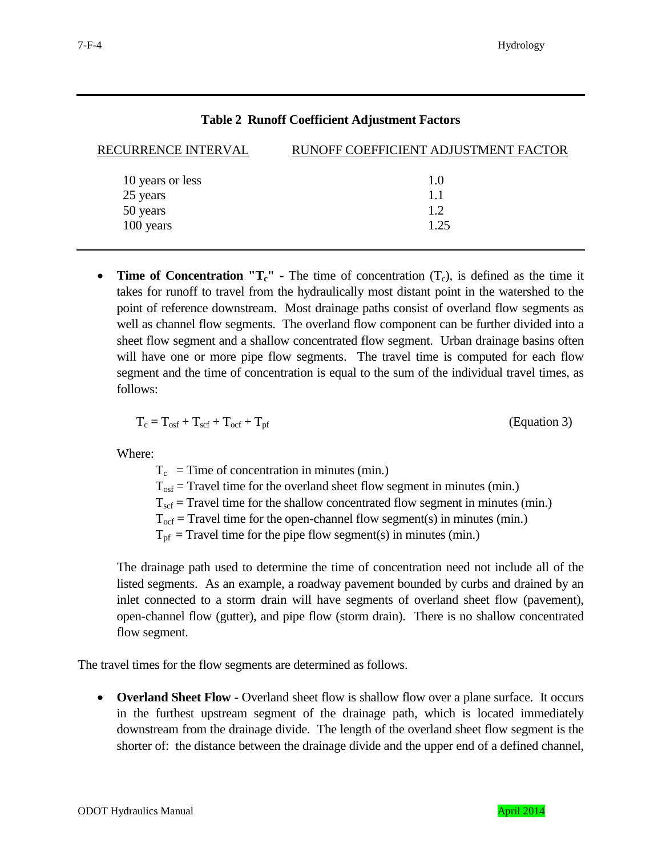|  |  |  | <b>Table 2 Runoff Coefficient Adjustment Factors</b> |  |
|--|--|--|------------------------------------------------------|--|
|--|--|--|------------------------------------------------------|--|

| RECURRENCE INTERVAL | RUNOFF COEFFICIENT ADJUSTMENT FACTOR |  |  |
|---------------------|--------------------------------------|--|--|
| 10 years or less    | 1.0                                  |  |  |
| 25 years            | 1.1                                  |  |  |
| 50 years            | 12                                   |  |  |
| 100 years           | 1.25                                 |  |  |

• **Time of Concentration "T<sub>c</sub>"** - The time of concentration (T<sub>c</sub>), is defined as the time it takes for runoff to travel from the hydraulically most distant point in the watershed to the point of reference downstream. Most drainage paths consist of overland flow segments as well as channel flow segments. The overland flow component can be further divided into a sheet flow segment and a shallow concentrated flow segment. Urban drainage basins often will have one or more pipe flow segments. The travel time is computed for each flow segment and the time of concentration is equal to the sum of the individual travel times, as follows:

$$
T_c = T_{osf} + T_{scf} + T_{ocf} + T_{pf}
$$
 (Equation 3)

Where:

 $T_c$  = Time of concentration in minutes (min.)  $T_{\text{osf}}$  = Travel time for the overland sheet flow segment in minutes (min.)  $T_{\text{scf}}$  = Travel time for the shallow concentrated flow segment in minutes (min.)  $T_{\text{ocf}}$  = Travel time for the open-channel flow segment(s) in minutes (min.)  $T_{\text{pf}}$  = Travel time for the pipe flow segment(s) in minutes (min.)

The drainage path used to determine the time of concentration need not include all of the listed segments. As an example, a roadway pavement bounded by curbs and drained by an inlet connected to a storm drain will have segments of overland sheet flow (pavement), open-channel flow (gutter), and pipe flow (storm drain). There is no shallow concentrated flow segment.

The travel times for the flow segments are determined as follows.

• **Overland Sheet Flow -** Overland sheet flow is shallow flow over a plane surface. It occurs in the furthest upstream segment of the drainage path, which is located immediately downstream from the drainage divide. The length of the overland sheet flow segment is the shorter of: the distance between the drainage divide and the upper end of a defined channel,

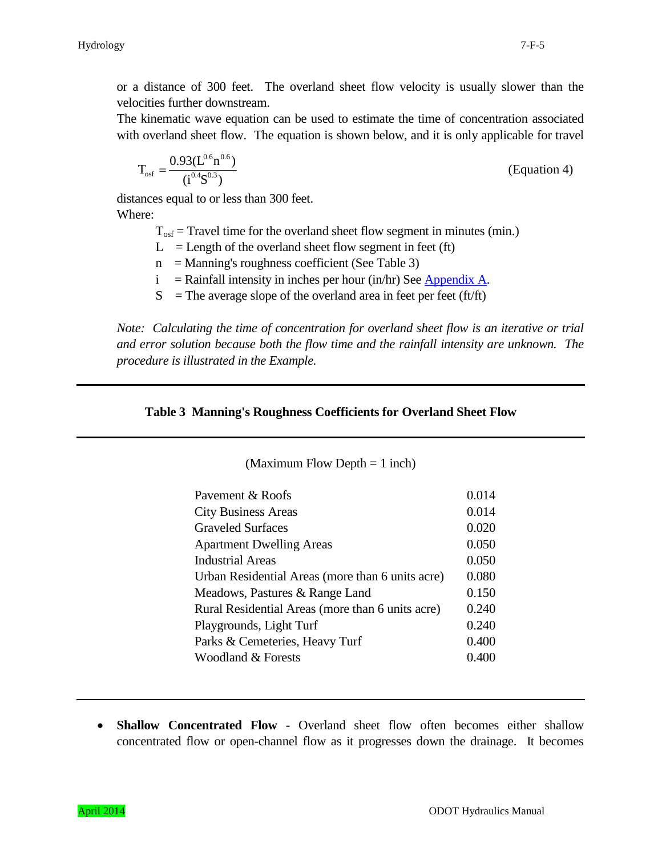or a distance of 300 feet. The overland sheet flow velocity is usually slower than the velocities further downstream.

The kinematic wave equation can be used to estimate the time of concentration associated with overland sheet flow. The equation is shown below, and it is only applicable for travel

$$
T_{\text{osf}} = \frac{0.93(L^{0.6}n^{0.6})}{(i^{0.4}S^{0.3})}
$$
 (Equation 4)

distances equal to or less than 300 feet. Where:

 $T_{\text{osf}}$  = Travel time for the overland sheet flow segment in minutes (min.)

 $L =$  Length of the overland sheet flow segment in feet (ft)

- $n =$ Manning's roughness coefficient (See Table 3)
- $i =$  Rainfall intensity in inches per hour (in/hr) Se[e Appendix A.](ftp://ftp.odot.state.or.us/techserv/Geo-Environmental/Hydraulics/Hydro/Manuals_and_Guidance/HDM%202011/Chapter_07_2011/Chapter_07_appendix_A/CHAPTER_07_APPENDIX_A.pdf)
- $S =$ The average slope of the overland area in feet per feet (ft/ft)

*Note: Calculating the time of concentration for overland sheet flow is an iterative or trial and error solution because both the flow time and the rainfall intensity are unknown. The procedure is illustrated in the Example.*

#### **Table 3 Manning's Roughness Coefficients for Overland Sheet Flow**

(Maximum Flow Depth = 1 inch)

| Payement & Roofs                                 | 0.014 |
|--------------------------------------------------|-------|
| <b>City Business Areas</b>                       | 0.014 |
| <b>Graveled Surfaces</b>                         | 0.020 |
| <b>Apartment Dwelling Areas</b>                  | 0.050 |
| <b>Industrial Areas</b>                          | 0.050 |
| Urban Residential Areas (more than 6 units acre) | 0.080 |
| Meadows, Pastures & Range Land                   | 0.150 |
| Rural Residential Areas (more than 6 units acre) | 0.240 |
| Playgrounds, Light Turf                          | 0.240 |
| Parks & Cemeteries, Heavy Turf                   | 0.400 |
| Woodland & Forests                               | 0.400 |
|                                                  |       |

• **Shallow Concentrated Flow -** Overland sheet flow often becomes either shallow concentrated flow or open-channel flow as it progresses down the drainage. It becomes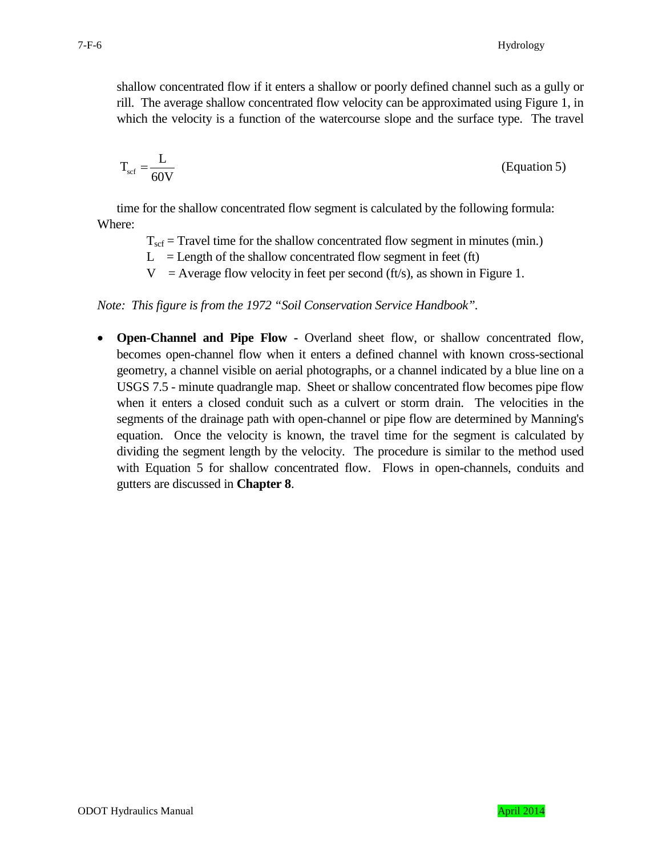shallow concentrated flow if it enters a shallow or poorly defined channel such as a gully or rill. The average shallow concentrated flow velocity can be approximated using Figure 1, in which the velocity is a function of the watercourse slope and the surface type. The travel

$$
T_{\rm scf} = \frac{L}{60V}
$$
 (Equation 5)

time for the shallow concentrated flow segment is calculated by the following formula: Where:

- $T_{\text{scf}}$  = Travel time for the shallow concentrated flow segment in minutes (min.)
- $L =$  Length of the shallow concentrated flow segment in feet (ft)
- $V =$  Average flow velocity in feet per second (ft/s), as shown in Figure 1.

*Note: This figure is from the 1972 "Soil Conservation Service Handbook".*

• **Open-Channel and Pipe Flow -** Overland sheet flow, or shallow concentrated flow, becomes open-channel flow when it enters a defined channel with known cross-sectional geometry, a channel visible on aerial photographs, or a channel indicated by a blue line on a USGS 7.5 - minute quadrangle map. Sheet or shallow concentrated flow becomes pipe flow when it enters a closed conduit such as a culvert or storm drain. The velocities in the segments of the drainage path with open-channel or pipe flow are determined by Manning's equation. Once the velocity is known, the travel time for the segment is calculated by dividing the segment length by the velocity. The procedure is similar to the method used with Equation 5 for shallow concentrated flow. Flows in open-channels, conduits and gutters are discussed in **Chapter 8**.

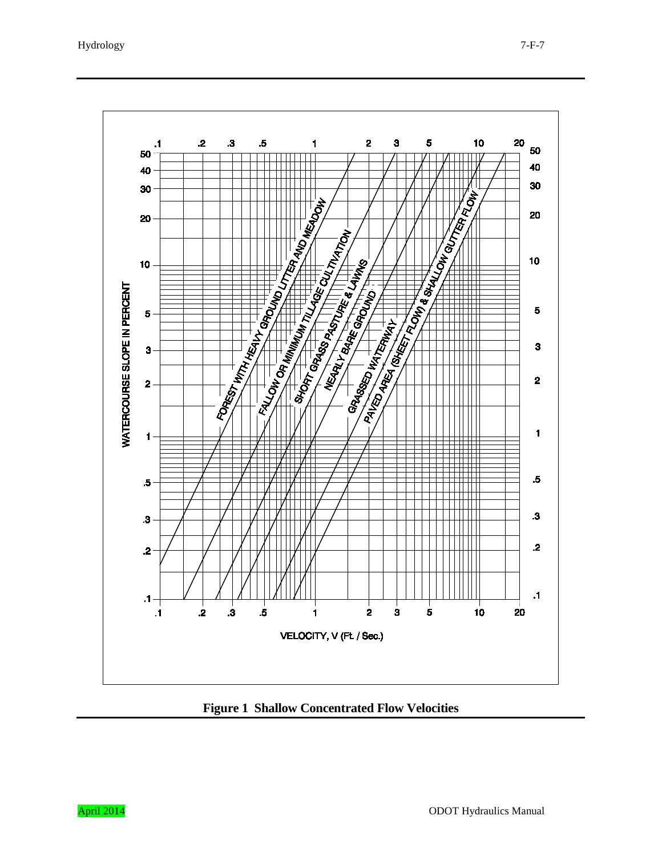

**Figure 1 Shallow Concentrated Flow Velocities**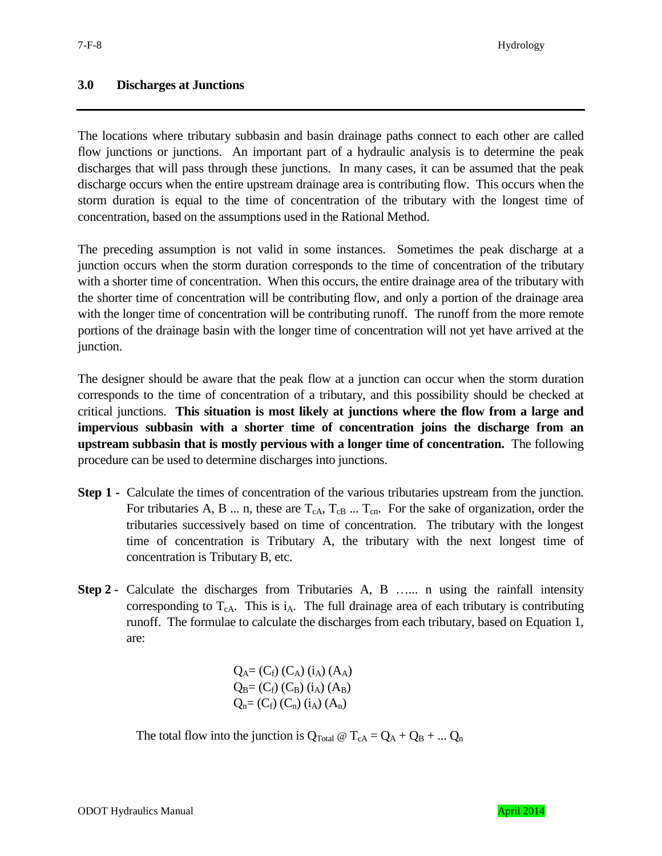## **3.0 Discharges at Junctions**

The locations where tributary subbasin and basin drainage paths connect to each other are called flow junctions or junctions. An important part of a hydraulic analysis is to determine the peak discharges that will pass through these junctions. In many cases, it can be assumed that the peak discharge occurs when the entire upstream drainage area is contributing flow. This occurs when the storm duration is equal to the time of concentration of the tributary with the longest time of concentration, based on the assumptions used in the Rational Method.

The preceding assumption is not valid in some instances. Sometimes the peak discharge at a junction occurs when the storm duration corresponds to the time of concentration of the tributary with a shorter time of concentration. When this occurs, the entire drainage area of the tributary with the shorter time of concentration will be contributing flow, and only a portion of the drainage area with the longer time of concentration will be contributing runoff. The runoff from the more remote portions of the drainage basin with the longer time of concentration will not yet have arrived at the junction.

The designer should be aware that the peak flow at a junction can occur when the storm duration corresponds to the time of concentration of a tributary, and this possibility should be checked at critical junctions. **This situation is most likely at junctions where the flow from a large and impervious subbasin with a shorter time of concentration joins the discharge from an upstream subbasin that is mostly pervious with a longer time of concentration.** The following procedure can be used to determine discharges into junctions.

- **Step 1 -** Calculate the times of concentration of the various tributaries upstream from the junction. For tributaries A, B ... n, these are  $T_{cA}$ ,  $T_{cB}$  ...  $T_{cn}$ . For the sake of organization, order the tributaries successively based on time of concentration. The tributary with the longest time of concentration is Tributary A, the tributary with the next longest time of concentration is Tributary B, etc.
- **Step 2 -** Calculate the discharges from Tributaries A, B …... n using the rainfall intensity corresponding to  $T_{cA}$ . This is  $i_A$ . The full drainage area of each tributary is contributing runoff. The formulae to calculate the discharges from each tributary, based on Equation 1, are:

 $Q_A = (C_f) (C_A) (i_A) (A_A)$  $Q_B = (C_f) (C_B) (i_A) (A_B)$  $Q_n = (C_f) (C_n) (i_A) (A_n)$ 

The total flow into the junction is  $Q_{\text{Total}} \otimes T_{cA} = Q_A + Q_B + ... Q_n$ 

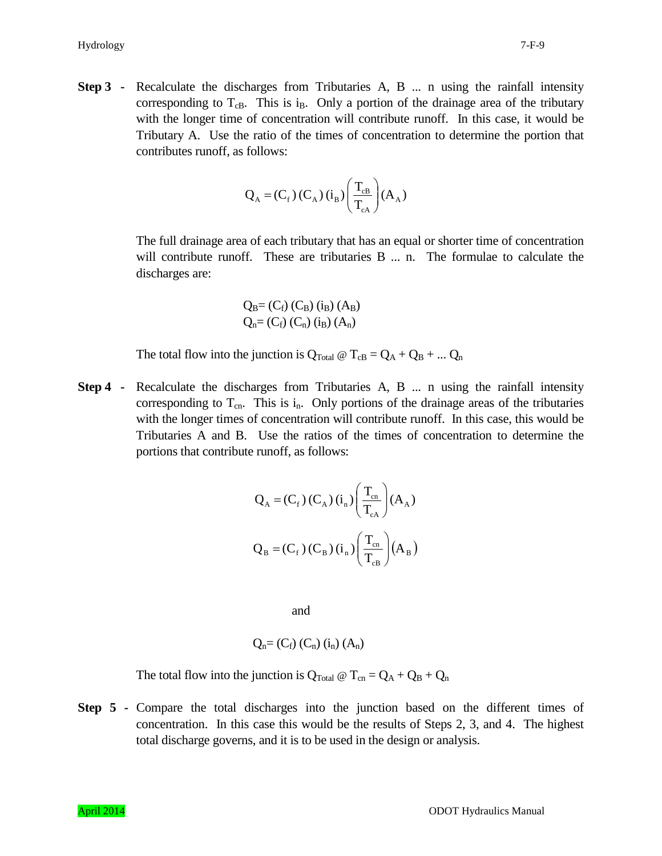**Step 3** - Recalculate the discharges from Tributaries A, B ... n using the rainfall intensity corresponding to  $T_{cB}$ . This is i<sub>B</sub>. Only a portion of the drainage area of the tributary with the longer time of concentration will contribute runoff. In this case, it would be Tributary A. Use the ratio of the times of concentration to determine the portion that contributes runoff, as follows:

$$
Q_{A} = (C_{f}) (C_{A}) (i_{B}) \left(\frac{T_{cB}}{T_{cA}}\right) (A_{A})
$$

The full drainage area of each tributary that has an equal or shorter time of concentration will contribute runoff. These are tributaries B ... n. The formulae to calculate the discharges are:

$$
Q_B = (C_f) (C_B) (i_B) (A_B)
$$
  

$$
Q_n = (C_f) (C_n) (i_B) (A_n)
$$

The total flow into the junction is  $Q_{\text{Total}} \otimes T_{\text{cB}} = Q_A + Q_B + ... Q_n$ 

**Step 4 -** Recalculate the discharges from Tributaries A, B ... n using the rainfall intensity corresponding to  $T_{cn}$ . This is  $i_n$ . Only portions of the drainage areas of the tributaries with the longer times of concentration will contribute runoff. In this case, this would be Tributaries A and B. Use the ratios of the times of concentration to determine the portions that contribute runoff, as follows:

$$
Q_{A} = (C_{f})(C_{A})(i_{n}) \left(\frac{T_{cn}}{T_{ca}}\right) (A_{A})
$$

$$
Q_{B} = (C_{f})(C_{B})(i_{n}) \left(\frac{T_{cn}}{T_{ca}}\right) (A_{B})
$$

and

$$
Q_n=(C_f) (C_n) (i_n) (A_n)
$$

The total flow into the junction is  $Q_{\text{Total}} \otimes T_{\text{cn}} = Q_A + Q_B + Q_n$ 

**Step 5 -** Compare the total discharges into the junction based on the different times of concentration. In this case this would be the results of Steps 2, 3, and 4. The highest total discharge governs, and it is to be used in the design or analysis.

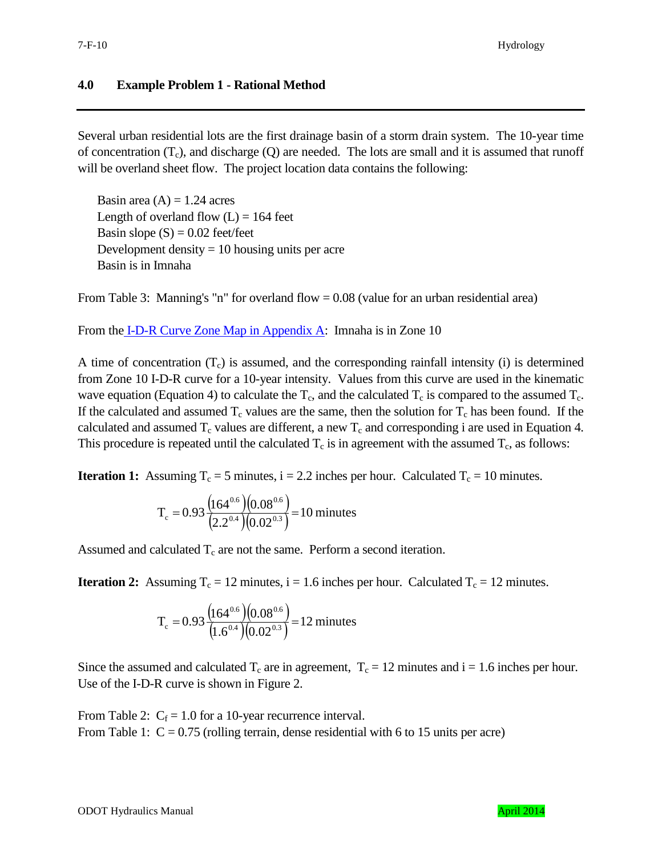### **4.0 Example Problem 1 - Rational Method**

Several urban residential lots are the first drainage basin of a storm drain system. The 10-year time of concentration  $(T_c)$ , and discharge  $(Q)$  are needed. The lots are small and it is assumed that runoff will be overland sheet flow. The project location data contains the following:

Basin area  $(A) = 1.24$  acres Length of overland flow  $(L) = 164$  feet Basin slope  $(S) = 0.02$  feet/feet Development density  $= 10$  housing units per acre Basin is in Imnaha

From Table 3: Manning's "n" for overland flow  $= 0.08$  (value for an urban residential area)

From the [I-D-R Curve Zone Map in Appendix A:](ftp://ftp.odot.state.or.us/techserv/Geo-Environmental/Hydraulics/Hydro/Manuals_and_Guidance/HDM%202011/Chapter_07_2011/Chapter_07_appendix_A/CHAPTER_07_APPENDIX_A.pdf) Imnaha is in Zone 10

A time of concentration  $(T_c)$  is assumed, and the corresponding rainfall intensity (i) is determined from Zone 10 I-D-R curve for a 10-year intensity. Values from this curve are used in the kinematic wave equation (Equation 4) to calculate the  $T_c$ , and the calculated  $T_c$  is compared to the assumed  $T_c$ . If the calculated and assumed  $T_c$  values are the same, then the solution for  $T_c$  has been found. If the calculated and assumed  $T_c$  values are different, a new  $T_c$  and corresponding i are used in Equation 4. This procedure is repeated until the calculated  $T_c$  is in agreement with the assumed  $T_c$ , as follows:

**Iteration 1:** Assuming  $T_c = 5$  minutes,  $i = 2.2$  inches per hour. Calculated  $T_c = 10$  minutes.

$$
T_c = 0.93 \frac{\left(164^{0.6}\right) \left(0.08^{0.6}\right)}{\left(2.2^{0.4}\right) \left(0.02^{0.3}\right)} = 10 \text{ minutes}
$$

Assumed and calculated  $T_c$  are not the same. Perform a second iteration.

**Iteration 2:** Assuming  $T_c = 12$  minutes,  $i = 1.6$  inches per hour. Calculated  $T_c = 12$  minutes.

$$
T_c = 0.93 \frac{\left(164^{0.6}\right) \left(0.08^{0.6}\right)}{\left(1.6^{0.4}\right) \left(0.02^{0.3}\right)} = 12 \text{ minutes}
$$

Since the assumed and calculated  $T_c$  are in agreement,  $T_c = 12$  minutes and i = 1.6 inches per hour. Use of the I-D-R curve is shown in Figure 2.

From Table 2:  $C_f = 1.0$  for a 10-year recurrence interval. From Table 1:  $C = 0.75$  (rolling terrain, dense residential with 6 to 15 units per acre)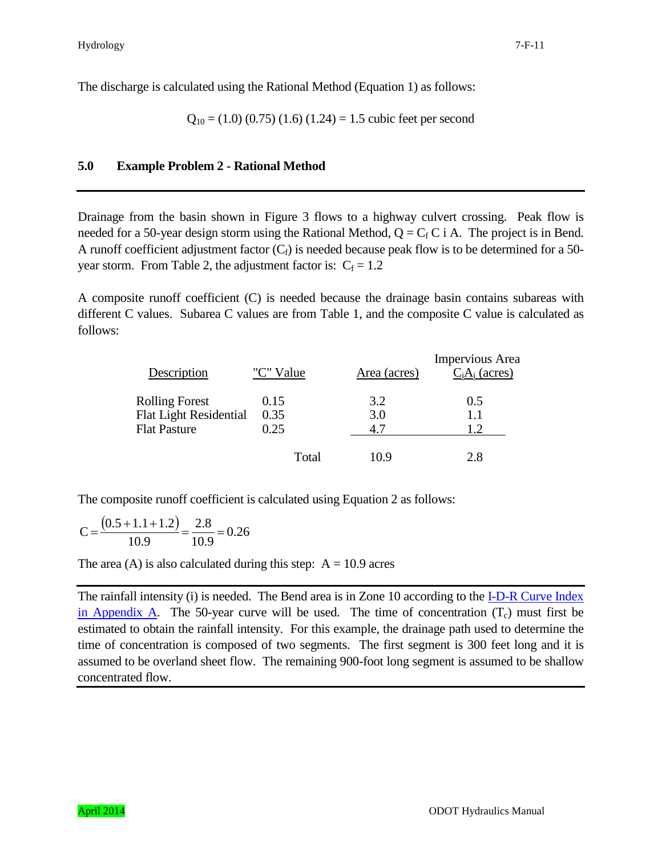The discharge is calculated using the Rational Method (Equation 1) as follows:

$$
Q_{10} = (1.0) (0.75) (1.6) (1.24) = 1.5
$$
 cubic feet per second

# **5.0 Example Problem 2 - Rational Method**

Drainage from the basin shown in Figure 3 flows to a highway culvert crossing. Peak flow is needed for a 50-year design storm using the Rational Method,  $Q = C_f C$  i A. The project is in Bend. A runoff coefficient adjustment factor  $(C_f)$  is needed because peak flow is to be determined for a 50year storm. From Table 2, the adjustment factor is:  $C_f = 1.2$ 

A composite runoff coefficient (C) is needed because the drainage basin contains subareas with different C values. Subarea C values are from Table 1, and the composite C value is calculated as follows:

| Description                                                                   | "C" Value            | Area (acres)      | <b>Impervious</b> Area<br>$C_iA_i$ (acres) |
|-------------------------------------------------------------------------------|----------------------|-------------------|--------------------------------------------|
| <b>Rolling Forest</b><br><b>Flat Light Residential</b><br><b>Flat Pasture</b> | 0.15<br>0.35<br>0.25 | 3.2<br>3.0<br>4.7 | 0.5<br>1.1<br>1.2                          |
|                                                                               | Total                | 10.9              | 2.8                                        |

The composite runoff coefficient is calculated using Equation 2 as follows:

$$
C = \frac{(0.5 + 1.1 + 1.2)}{10.9} = \frac{2.8}{10.9} = 0.26
$$

The area (A) is also calculated during this step:  $A = 10.9$  acres

The rainfall intensity (i) is needed. The Bend area is in Zone 10 according to the **I-D-R** Curve Index [in Appendix A.](ftp://ftp.odot.state.or.us/techserv/Geo-Environmental/Hydraulics/Hydro/Manuals_and_Guidance/HDM%202011/Chapter_07_2011/Chapter_07_appendix_A/CHAPTER_07_APPENDIX_A.pdf) The 50-year curve will be used. The time of concentration  $(T_c)$  must first be estimated to obtain the rainfall intensity. For this example, the drainage path used to determine the time of concentration is composed of two segments. The first segment is 300 feet long and it is assumed to be overland sheet flow. The remaining 900-foot long segment is assumed to be shallow concentrated flow.

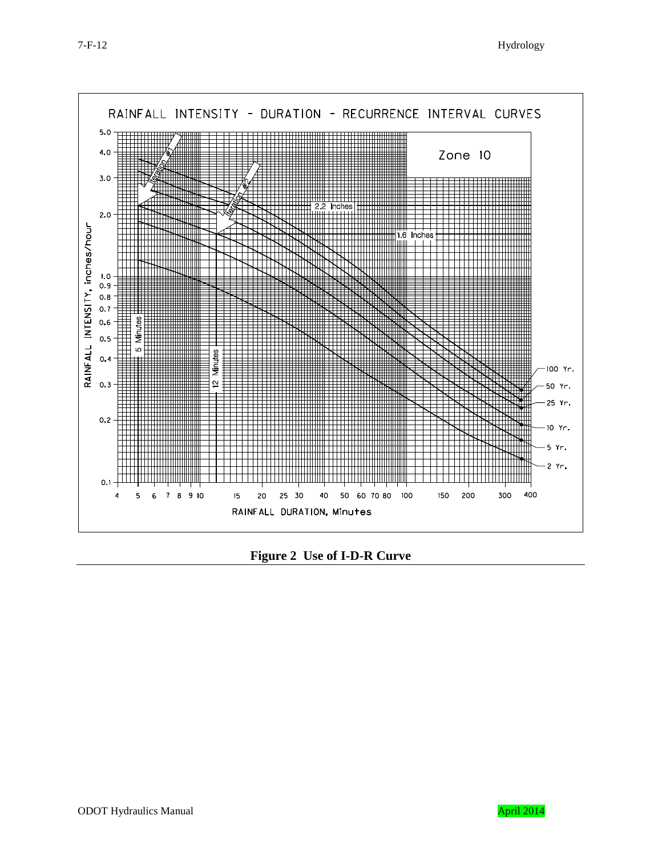



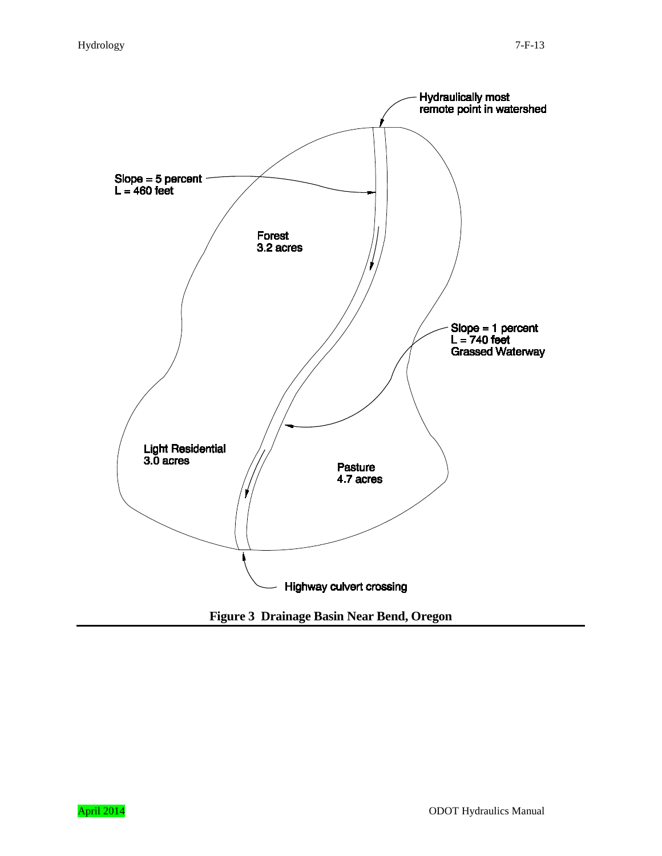

**Figure 3 Drainage Basin Near Bend, Oregon**